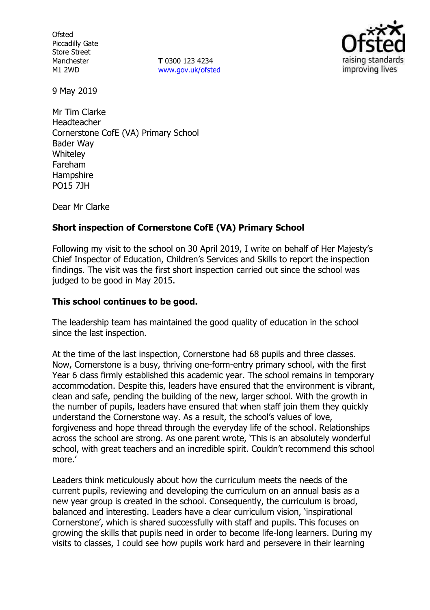**Ofsted** Piccadilly Gate Store Street Manchester M1 2WD

**T** 0300 123 4234 www.gov.uk/ofsted



9 May 2019

Mr Tim Clarke Headteacher Cornerstone CofE (VA) Primary School Bader Way **Whiteley** Fareham **Hampshire** PO15 7JH

Dear Mr Clarke

# **Short inspection of Cornerstone CofE (VA) Primary School**

Following my visit to the school on 30 April 2019, I write on behalf of Her Majesty's Chief Inspector of Education, Children's Services and Skills to report the inspection findings. The visit was the first short inspection carried out since the school was judged to be good in May 2015.

### **This school continues to be good.**

The leadership team has maintained the good quality of education in the school since the last inspection.

At the time of the last inspection, Cornerstone had 68 pupils and three classes. Now, Cornerstone is a busy, thriving one-form-entry primary school, with the first Year 6 class firmly established this academic year. The school remains in temporary accommodation. Despite this, leaders have ensured that the environment is vibrant, clean and safe, pending the building of the new, larger school. With the growth in the number of pupils, leaders have ensured that when staff join them they quickly understand the Cornerstone way. As a result, the school's values of love, forgiveness and hope thread through the everyday life of the school. Relationships across the school are strong. As one parent wrote, 'This is an absolutely wonderful school, with great teachers and an incredible spirit. Couldn't recommend this school more.'

Leaders think meticulously about how the curriculum meets the needs of the current pupils, reviewing and developing the curriculum on an annual basis as a new year group is created in the school. Consequently, the curriculum is broad, balanced and interesting. Leaders have a clear curriculum vision, 'inspirational Cornerstone', which is shared successfully with staff and pupils. This focuses on growing the skills that pupils need in order to become life-long learners. During my visits to classes, I could see how pupils work hard and persevere in their learning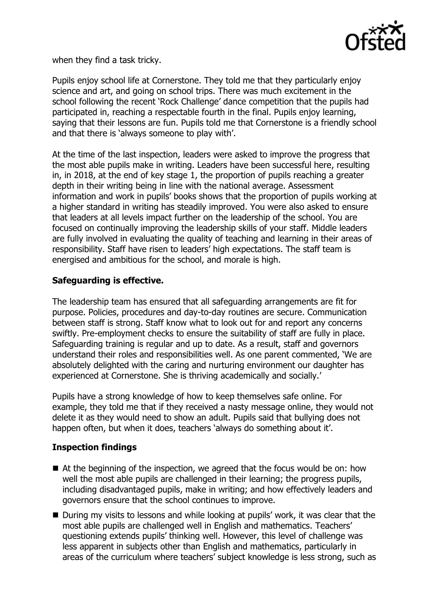

when they find a task tricky.

Pupils enjoy school life at Cornerstone. They told me that they particularly enjoy science and art, and going on school trips. There was much excitement in the school following the recent 'Rock Challenge' dance competition that the pupils had participated in, reaching a respectable fourth in the final. Pupils enjoy learning, saying that their lessons are fun. Pupils told me that Cornerstone is a friendly school and that there is 'always someone to play with'.

At the time of the last inspection, leaders were asked to improve the progress that the most able pupils make in writing. Leaders have been successful here, resulting in, in 2018, at the end of key stage 1, the proportion of pupils reaching a greater depth in their writing being in line with the national average. Assessment information and work in pupils' books shows that the proportion of pupils working at a higher standard in writing has steadily improved. You were also asked to ensure that leaders at all levels impact further on the leadership of the school. You are focused on continually improving the leadership skills of your staff. Middle leaders are fully involved in evaluating the quality of teaching and learning in their areas of responsibility. Staff have risen to leaders' high expectations. The staff team is energised and ambitious for the school, and morale is high.

# **Safeguarding is effective.**

The leadership team has ensured that all safeguarding arrangements are fit for purpose. Policies, procedures and day-to-day routines are secure. Communication between staff is strong. Staff know what to look out for and report any concerns swiftly. Pre-employment checks to ensure the suitability of staff are fully in place. Safeguarding training is regular and up to date. As a result, staff and governors understand their roles and responsibilities well. As one parent commented, 'We are absolutely delighted with the caring and nurturing environment our daughter has experienced at Cornerstone. She is thriving academically and socially.'

Pupils have a strong knowledge of how to keep themselves safe online. For example, they told me that if they received a nasty message online, they would not delete it as they would need to show an adult. Pupils said that bullying does not happen often, but when it does, teachers 'always do something about it'.

### **Inspection findings**

- At the beginning of the inspection, we agreed that the focus would be on: how well the most able pupils are challenged in their learning; the progress pupils, including disadvantaged pupils, make in writing; and how effectively leaders and governors ensure that the school continues to improve.
- During my visits to lessons and while looking at pupils' work, it was clear that the most able pupils are challenged well in English and mathematics. Teachers' questioning extends pupils' thinking well. However, this level of challenge was less apparent in subjects other than English and mathematics, particularly in areas of the curriculum where teachers' subject knowledge is less strong, such as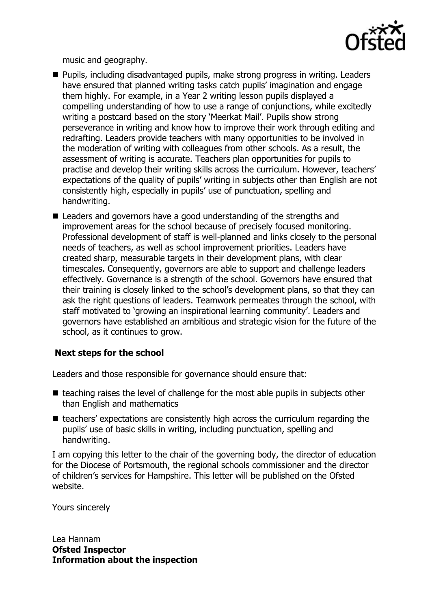

music and geography.

- Pupils, including disadvantaged pupils, make strong progress in writing. Leaders have ensured that planned writing tasks catch pupils' imagination and engage them highly. For example, in a Year 2 writing lesson pupils displayed a compelling understanding of how to use a range of conjunctions, while excitedly writing a postcard based on the story 'Meerkat Mail'. Pupils show strong perseverance in writing and know how to improve their work through editing and redrafting. Leaders provide teachers with many opportunities to be involved in the moderation of writing with colleagues from other schools. As a result, the assessment of writing is accurate. Teachers plan opportunities for pupils to practise and develop their writing skills across the curriculum. However, teachers' expectations of the quality of pupils' writing in subjects other than English are not consistently high, especially in pupils' use of punctuation, spelling and handwriting.
- Leaders and governors have a good understanding of the strengths and improvement areas for the school because of precisely focused monitoring. Professional development of staff is well-planned and links closely to the personal needs of teachers, as well as school improvement priorities. Leaders have created sharp, measurable targets in their development plans, with clear timescales. Consequently, governors are able to support and challenge leaders effectively. Governance is a strength of the school. Governors have ensured that their training is closely linked to the school's development plans, so that they can ask the right questions of leaders. Teamwork permeates through the school, with staff motivated to 'growing an inspirational learning community'. Leaders and governors have established an ambitious and strategic vision for the future of the school, as it continues to grow.

### **Next steps for the school**

Leaders and those responsible for governance should ensure that:

- $\blacksquare$  teaching raises the level of challenge for the most able pupils in subjects other than English and mathematics
- $\blacksquare$  teachers' expectations are consistently high across the curriculum regarding the pupils' use of basic skills in writing, including punctuation, spelling and handwriting.

I am copying this letter to the chair of the governing body, the director of education for the Diocese of Portsmouth, the regional schools commissioner and the director of children's services for Hampshire. This letter will be published on the Ofsted website.

Yours sincerely

Lea Hannam **Ofsted Inspector Information about the inspection**